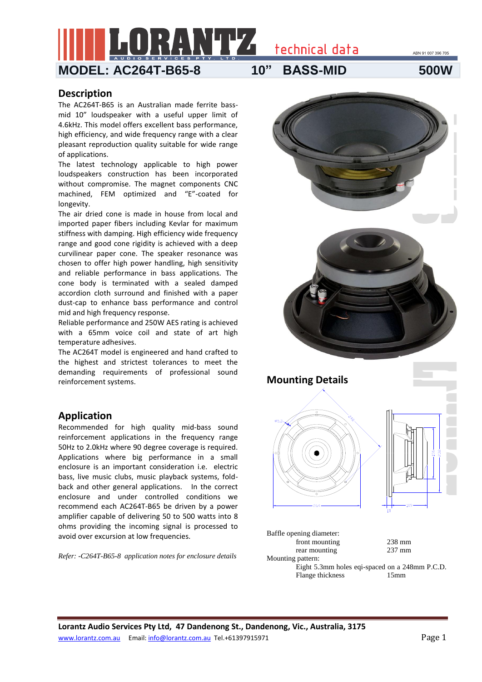ABN 91 007 396 705



technical data

## **Description**

The AC264T-B65 is an Australian made ferrite bassmid 10" loudspeaker with a useful upper limit of 4.6kHz. This model offers excellent bass performance, high efficiency, and wide frequency range with a clear pleasant reproduction quality suitable for wide range of applications.

The latest technology applicable to high power loudspeakers construction has been incorporated without compromise. The magnet components CNC machined, FEM optimized and "E"-coated for longevity.

The air dried cone is made in house from local and imported paper fibers including Kevlar for maximum stiffness with damping. High efficiency wide frequency range and good cone rigidity is achieved with a deep curvilinear paper cone. The speaker resonance was chosen to offer high power handling, high sensitivity and reliable performance in bass applications. The cone body is terminated with a sealed damped accordion cloth surround and finished with a paper dust-cap to enhance bass performance and control mid and high frequency response.

Reliable performance and 250W AES rating is achieved with a 65mm voice coil and state of art high temperature adhesives.

The AC264T model is engineered and hand crafted to the highest and strictest tolerances to meet the demanding requirements of professional sound reinforcement systems.

## **Application**

Recommended for high quality mid-bass sound reinforcement applications in the frequency range 50Hz to 2.0kHz where 90 degree coverage is required. Applications where big performance in a small enclosure is an important consideration i.e. electric bass, live music clubs, music playback systems, foldback and other general applications. In the correct enclosure and under controlled conditions we recommend each AC264T-B65 be driven by a power amplifier capable of delivering 50 to 500 watts into 8 ohms providing the incoming signal is processed to avoid over excursion at low frequencies.

*Refer: -C264T-B65-8 application notes for enclosure details*